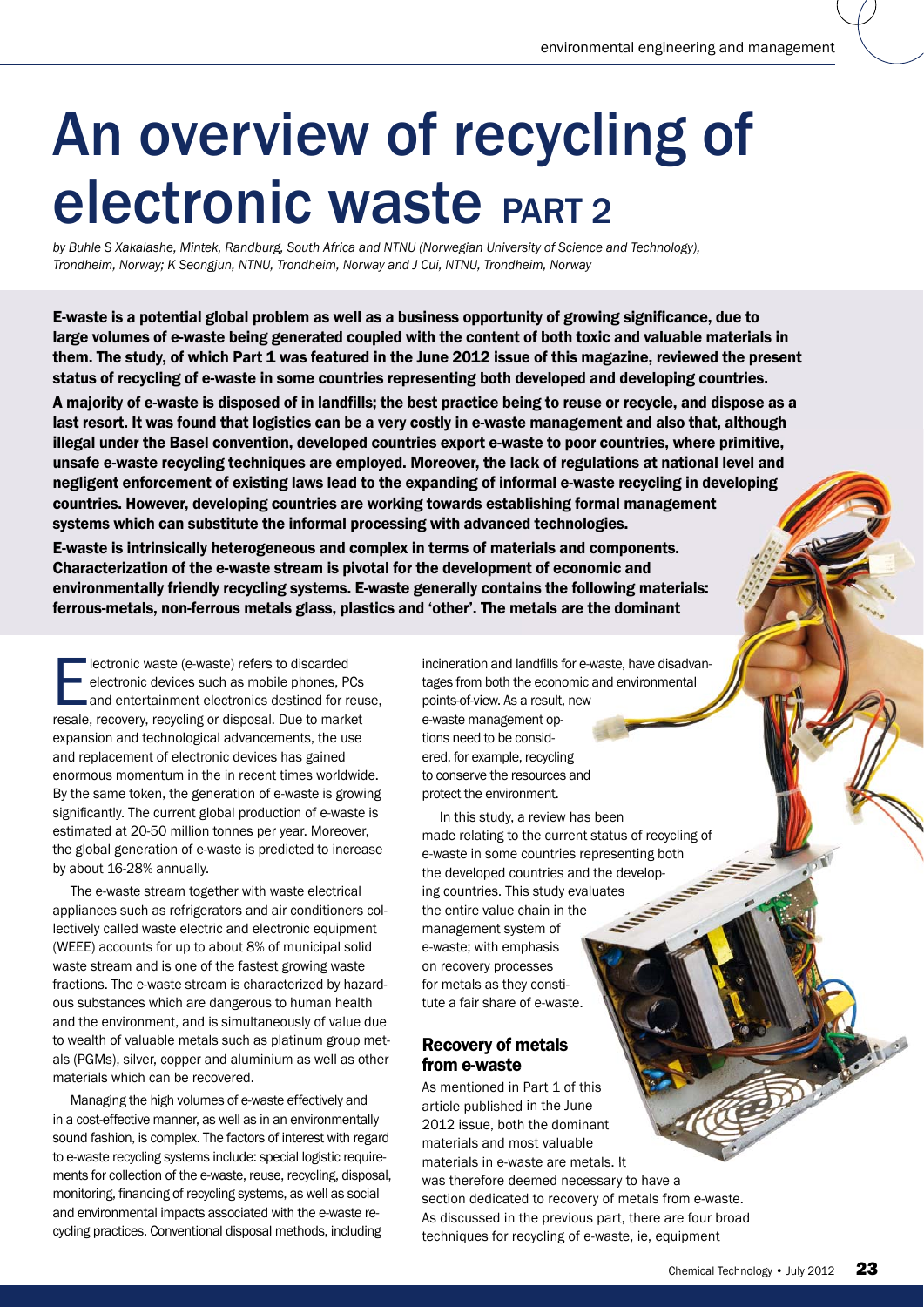# An overview of recycling of electronic waste PART 2

by Buhle S Xakalashe, Mintek, Randburg, South Africa and NTNU (Norwegian University of Science and Technology), *Trondheim, Norway; K Seongjun, NTNU, Trondheim, Norway and J Cui, NTNU, Trondheim, Norway*

E-waste is a potential global problem as well as a business opportunity of growing significance, due to large volumes of e-waste being generated coupled with the content of both toxic and valuable materials in them. The study, of which Part 1 was featured in the June 2012 issue of this magazine, reviewed the present status of recycling of e-waste in some countries representing both developed and developing countries.

A majority of e-waste is disposed of in landfills; the best practice being to reuse or recycle, and dispose as a last resort. It was found that logistics can be a very costly in e-waste management and also that, although illegal under the Basel convention, developed countries export e-waste to poor countries, where primitive, illegal under the Basel convention, developed countries export e-waste to poor countries, where primitive,<br>unsafe e-waste recycling techniques are employed. Moreover, the lack of regulations at national level and negligent enforcement of existing laws lead to the expanding of informal e-waste recycling in developing countries. However, developing countries are working towards establishing formal management systems which can substitute the informal processing with advanced technologies. negligent enforcement of existing laws lead to the expanding of informal e-waste recyc<br>countries. However, developing countries are working towards establishing formal man<br>systems which can substitute the informal processi

E-waste is intrinsically heterogeneous and complex in terms of materials and components. environmentally friendly recycling systems. E-waste generally contains the following materials: ins materials: ferrous-metals, non-ferrous metals glass, plastics and 'other'. The metals are the dominant

Electronic waste (e-waste) refers to discarded<br>
electronic devices such as mobile phones, Pressed and entertainment electronics destined for results<br>
and entertainment electronics destined for results electronic devices such as mobile phones, PCs and entertainment electronics destined for reuse. resale, recovery, recycling or disposal. Due to market expansion and technological advancements, the use and replacement of electronic devices has gained enormous momentum in the in recent times worldwide. By the same token, the generation of e-waste is growing significantly. The current global production of e-waste is estimated at 20-50 million tonnes per year. Moreover, the global generation of e-waste is predicted to increase by about 16-28% annually.

The e-waste stream together with waste electrical appliances such as refrigerators and air conditioners collectively called waste electric and electronic equipment (WEEE) accounts for up to about 8% of municipal solid waste stream and is one of the fastest growing waste fractions. The e-waste stream is characterized by hazardous substances which are dangerous to human health and the environment, and is simultaneously of value due to wealth of valuable metals such as platinum group metals (PGMs), silver, copper and aluminium as well as other materials which can be recovered.

Managing the high volumes of e-waste effectively and in a cost-effective manner, as well as in an environmentally sound fashion, is complex. The factors of interest with regard to e-waste recycling systems include: special logistic requirements for collection of the e-waste, reuse, recycling, disposal, monitoring, financing of recycling systems, as well as social and environmental impacts associated with the e-waste recycling practices. Conventional disposal methods, including

incineration and landfills for e-waste, have disadvanincineration and landfills for e-waste, have disadva<br>tages from both the economic and environmental points-of-view. As a result, new e-waste management op-<br>tions need to be considtions need to be considered, for example, recycling to conserve the resources and protect the environment.

In this study, a review has been to conserve the resources and<br>protect the environment.<br>In this study, a review has been<br>made relating to the current status of recycling of e-waste in some countries representing both the developed countries and the developing countries. This study evaluates the entire value chain in the management system of e-waste; with emphasis on recovery processes for metals as they constitute a fair share of e-waste. ountries<br>nis study<br>chain in<br>rstem of

# Recovery of metals from e-waste

As mentioned in Part 1 of this article published in the June 2012 issue, both the dominant materials and most valuable materials in e-waste are metals. It was therefore deemed necessary to have a section dedicated to recovery of metals from e-waste. As discussed in the previous part, there are four broad techniques for recycling of e-waste, ie, equipment mphasis<br>
ey consti-<br>
of e-waste.<br> **metals**<br> **e**<br>
a Part 1 of this<br>
d in the June<br>
th the dominant<br>
nost valuable<br>
vaste are metals. It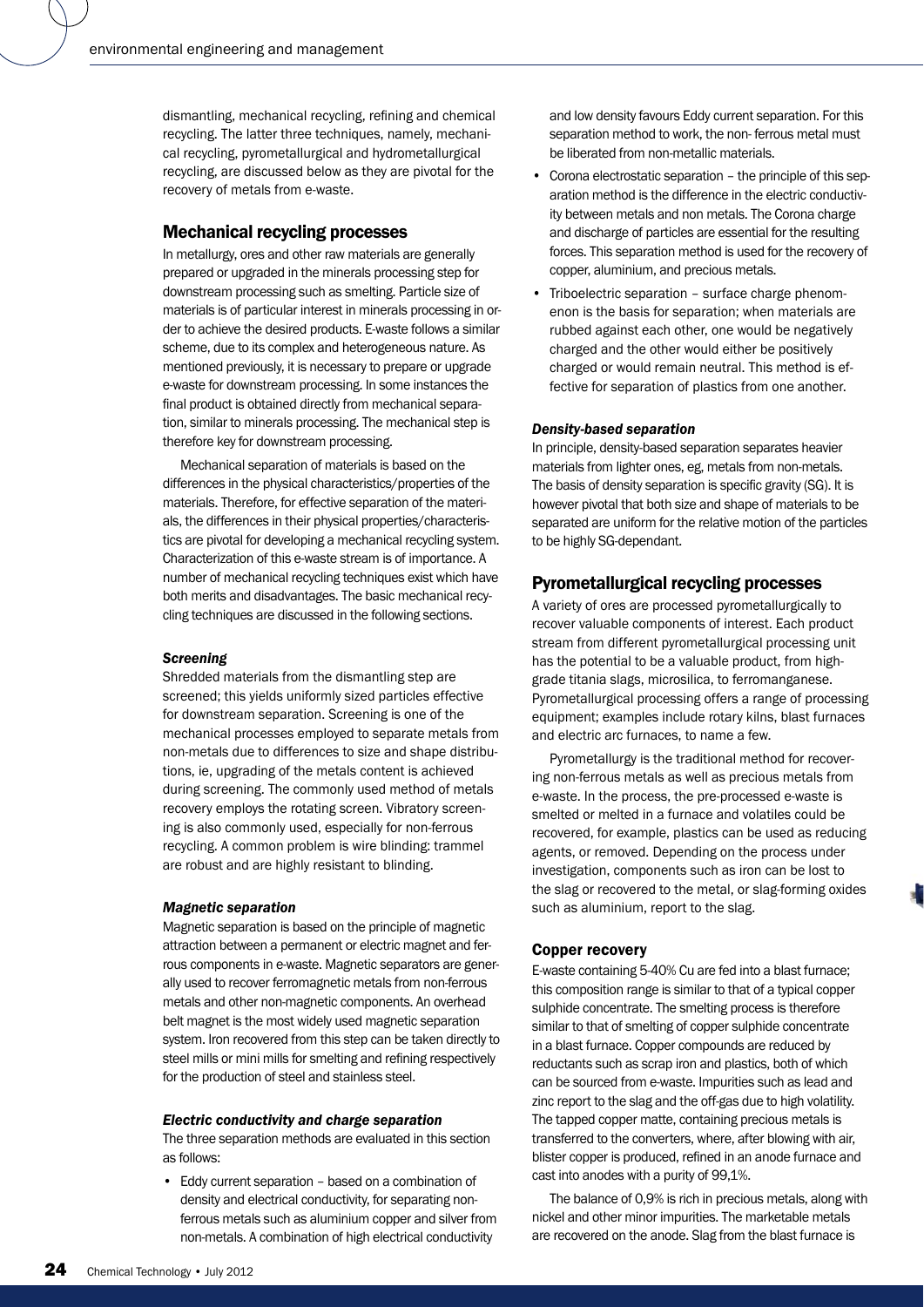dismantling, mechanical recycling, refining and chemical recycling. The latter three techniques, namely, mechanical recycling, pyrometallurgical and hydrometallurgical recycling, are discussed below as they are pivotal for the recovery of metals from e-waste.

## Mechanical recycling processes

In metallurgy, ores and other raw materials are generally prepared or upgraded in the minerals processing step for downstream processing such as smelting. Particle size of materials is of particular interest in minerals processing in order to achieve the desired products. E-waste follows a similar scheme, due to its complex and heterogeneous nature. As mentioned previously, it is necessary to prepare or upgrade e-waste for downstream processing. In some instances the final product is obtained directly from mechanical separation, similar to minerals processing. The mechanical step is therefore key for downstream processing.

Mechanical separation of materials is based on the differences in the physical characteristics/properties of the materials. Therefore, for effective separation of the materials, the differences in their physical properties/characteristics are pivotal for developing a mechanical recycling system. Characterization of this e-waste stream is of importance. A number of mechanical recycling techniques exist which have both merits and disadvantages. The basic mechanical recycling techniques are discussed in the following sections.

### *Screening*

Shredded materials from the dismantling step are screened; this yields uniformly sized particles effective for downstream separation. Screening is one of the mechanical processes employed to separate metals from non-metals due to differences to size and shape distributions, ie, upgrading of the metals content is achieved during screening. The commonly used method of metals recovery employs the rotating screen. Vibratory screening is also commonly used, especially for non-ferrous recycling. A common problem is wire blinding: trammel are robust and are highly resistant to blinding.

#### *Magnetic separation*

Magnetic separation is based on the principle of magnetic attraction between a permanent or electric magnet and ferrous components in e-waste. Magnetic separators are generally used to recover ferromagnetic metals from non-ferrous metals and other non-magnetic components. An overhead belt magnet is the most widely used magnetic separation system. Iron recovered from this step can be taken directly to steel mills or mini mills for smelting and refining respectively for the production of steel and stainless steel.

#### *Electric conductivity and charge separation*

The three separation methods are evaluated in this section as follows:

• Eddy current separation – based on a combination of density and electrical conductivity, for separating nonferrous metals such as aluminium copper and silver from non-metals. A combination of high electrical conductivity

and low density favours Eddy current separation. For this separation method to work, the non- ferrous metal must be liberated from non-metallic materials.

- Corona electrostatic separation the principle of this separation method is the difference in the electric conductivity between metals and non metals. The Corona charge and discharge of particles are essential for the resulting forces. This separation method is used for the recovery of copper, aluminium, and precious metals.
- Triboelectric separation surface charge phenomenon is the basis for separation; when materials are rubbed against each other, one would be negatively charged and the other would either be positively charged or would remain neutral. This method is effective for separation of plastics from one another.

#### *Density-based separation*

In principle, density-based separation separates heavier materials from lighter ones, eg, metals from non-metals. The basis of density separation is specific gravity (SG). It is however pivotal that both size and shape of materials to be separated are uniform for the relative motion of the particles to be highly SG-dependant.

## Pyrometallurgical recycling processes

A variety of ores are processed pyrometallurgically to recover valuable components of interest. Each product stream from different pyrometallurgical processing unit has the potential to be a valuable product, from highgrade titania slags, microsilica, to ferromanganese. Pyrometallurgical processing offers a range of processing equipment; examples include rotary kilns, blast furnaces and electric arc furnaces, to name a few.

Pyrometallurgy is the traditional method for recovering non-ferrous metals as well as precious metals from e-waste. In the process, the pre-processed e-waste is smelted or melted in a furnace and volatiles could be recovered, for example, plastics can be used as reducing agents, or removed. Depending on the process under investigation, components such as iron can be lost to the slag or recovered to the metal, or slag-forming oxides such as aluminium, report to the slag.

#### Copper recovery

E-waste containing 5-40% Cu are fed into a blast furnace; this composition range is similar to that of a typical copper sulphide concentrate. The smelting process is therefore similar to that of smelting of copper sulphide concentrate in a blast furnace. Copper compounds are reduced by reductants such as scrap iron and plastics, both of which can be sourced from e-waste. Impurities such as lead and zinc report to the slag and the off-gas due to high volatility. The tapped copper matte, containing precious metals is transferred to the converters, where, after blowing with air, blister copper is produced, refined in an anode furnace and cast into anodes with a purity of 99,1%.

The balance of 0,9% is rich in precious metals, along with nickel and other minor impurities. The marketable metals are recovered on the anode. Slag from the blast furnace is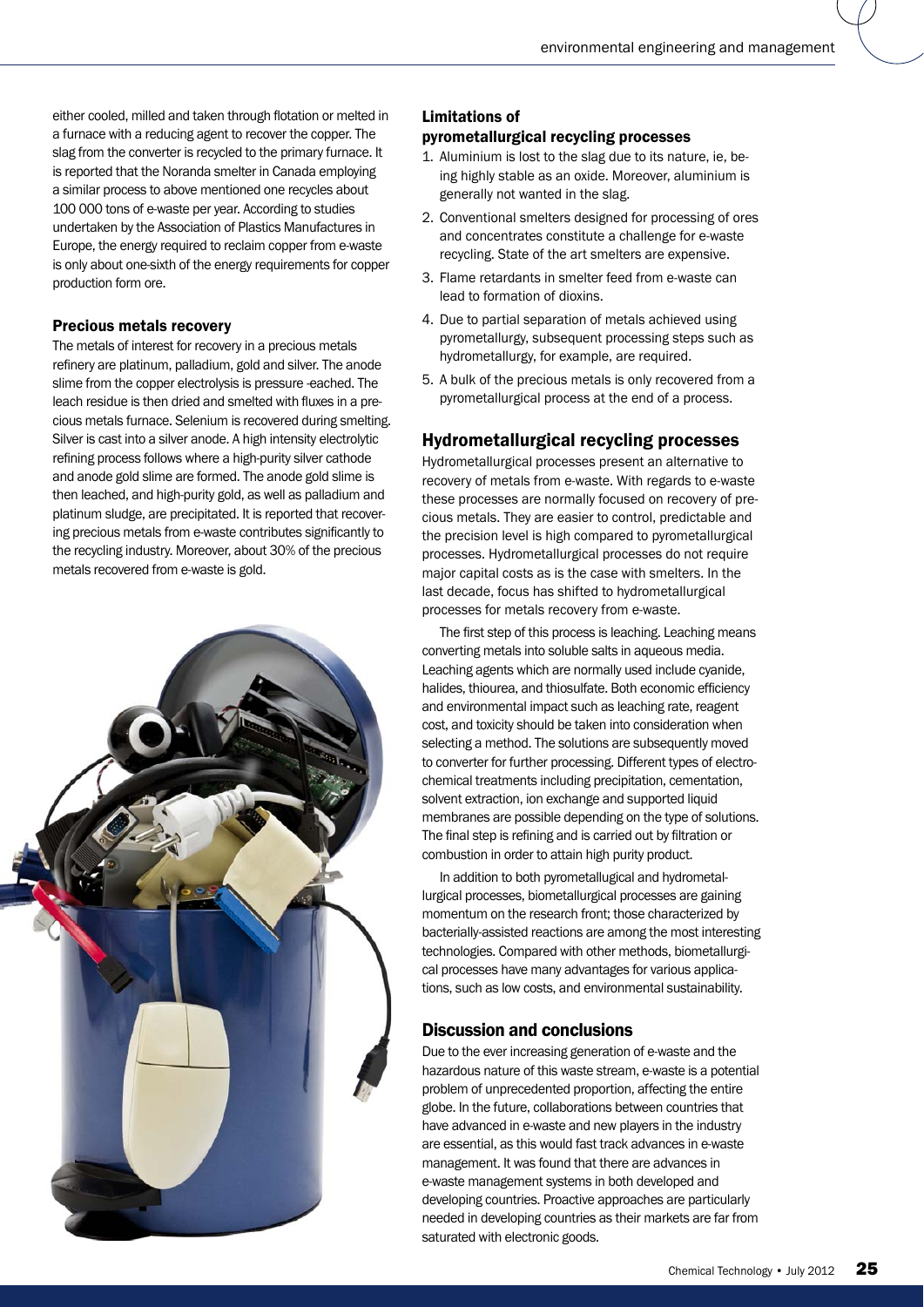either cooled, milled and taken through flotation or melted in a furnace with a reducing agent to recover the copper. The slag from the converter is recycled to the primary furnace. It is reported that the Noranda smelter in Canada employing a similar process to above mentioned one recycles about 100 000 tons of e-waste per year. According to studies undertaken by the Association of Plastics Manufactures in Europe, the energy required to reclaim copper from e-waste is only about one-sixth of the energy requirements for copper production form ore.

## Precious metals recovery

The metals of interest for recovery in a precious metals refinery are platinum, palladium, gold and silver. The anode slime from the copper electrolysis is pressure -eached. The leach residue is then dried and smelted with fluxes in a precious metals furnace. Selenium is recovered during smelting. Silver is cast into a silver anode. A high intensity electrolytic refining process follows where a high-purity silver cathode and anode gold slime are formed. The anode gold slime is then leached, and high-purity gold, as well as palladium and platinum sludge, are precipitated. It is reported that recovering precious metals from e-waste contributes significantly to the recycling industry. Moreover, about 30% of the precious metals recovered from e-waste is gold.



# Limitations of

## pyrometallurgical recycling processes

- 1. Aluminium is lost to the slag due to its nature, ie, being highly stable as an oxide. Moreover, aluminium is generally not wanted in the slag.
- 2. Conventional smelters designed for processing of ores and concentrates constitute a challenge for e-waste recycling. State of the art smelters are expensive.
- 3. Flame retardants in smelter feed from e-waste can lead to formation of dioxins.
- 4. Due to partial separation of metals achieved using pyrometallurgy, subsequent processing steps such as hydrometallurgy, for example, are required.
- 5. A bulk of the precious metals is only recovered from a pyrometallurgical process at the end of a process.

## Hydrometallurgical recycling processes

Hydrometallurgical processes present an alternative to recovery of metals from e-waste. With regards to e-waste these processes are normally focused on recovery of precious metals. They are easier to control, predictable and the precision level is high compared to pyrometallurgical processes. Hydrometallurgical processes do not require major capital costs as is the case with smelters. In the last decade, focus has shifted to hydrometallurgical processes for metals recovery from e-waste.

The first step of this process is leaching. Leaching means converting metals into soluble salts in aqueous media. Leaching agents which are normally used include cyanide, halides, thiourea, and thiosulfate. Both economic efficiency and environmental impact such as leaching rate, reagent cost, and toxicity should be taken into consideration when selecting a method. The solutions are subsequently moved to converter for further processing. Different types of electrochemical treatments including precipitation, cementation, solvent extraction, ion exchange and supported liquid membranes are possible depending on the type of solutions. The final step is refining and is carried out by filtration or combustion in order to attain high purity product.

In addition to both pyrometallugical and hydrometallurgical processes, biometallurgical processes are gaining momentum on the research front; those characterized by bacterially-assisted reactions are among the most interesting technologies. Compared with other methods, biometallurgical processes have many advantages for various applications, such as low costs, and environmental sustainability.

## Discussion and conclusions

Due to the ever increasing generation of e-waste and the hazardous nature of this waste stream, e-waste is a potential problem of unprecedented proportion, affecting the entire globe. In the future, collaborations between countries that have advanced in e-waste and new players in the industry are essential, as this would fast track advances in e-waste management. It was found that there are advances in e-waste management systems in both developed and developing countries. Proactive approaches are particularly needed in developing countries as their markets are far from saturated with electronic goods.